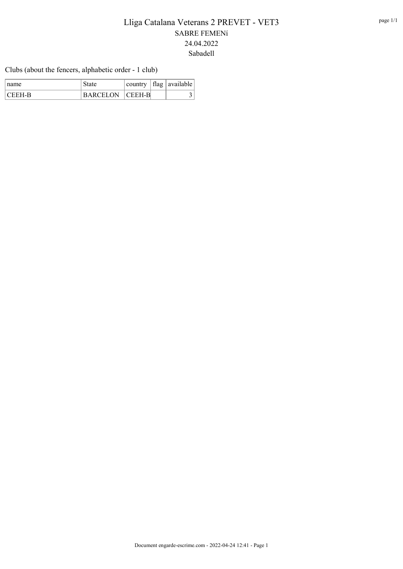Clubs (about the fencers, alphabetic order - 1 club)

| ∣ name   | state                  |  | country   flag   available |
|----------|------------------------|--|----------------------------|
| I CEEH-R | <b>BARCELON CEEH-B</b> |  |                            |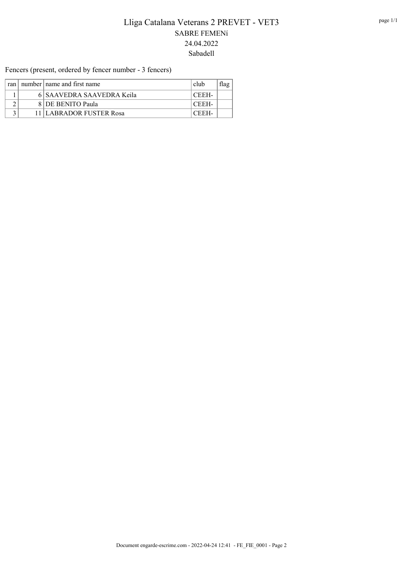Fencers (present, ordered by fencer number - 3 fencers)

| ran l | number   name and first name | club  |  |
|-------|------------------------------|-------|--|
|       | 6 SAAVEDRA SAAVEDRA Keila    | CEEH- |  |
|       | 8 DE BENITO Paula            | CEEH- |  |
|       | 11 LABRADOR FUSTER Rosa      | CEEH. |  |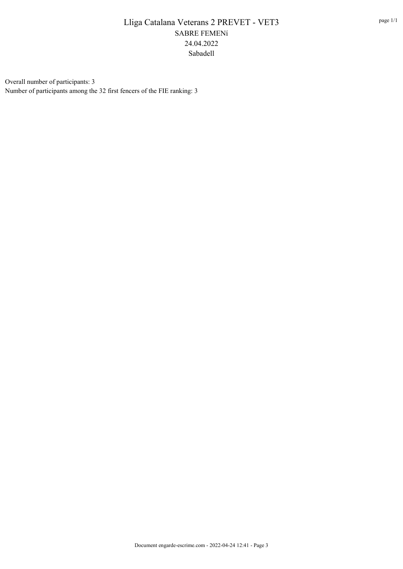Overall number of participants: 3 Number of participants among the 32 first fencers of the FIE ranking: 3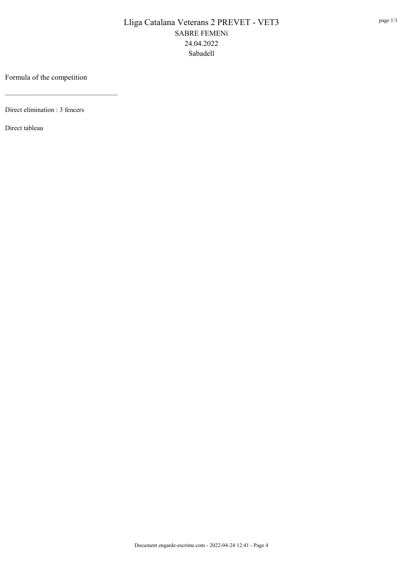### Formula of the competition

\_\_\_\_\_\_\_\_\_\_\_\_\_\_\_\_\_\_\_\_\_\_\_\_\_\_\_\_\_\_\_\_\_

Direct elimination : 3 fencers

Direct tableau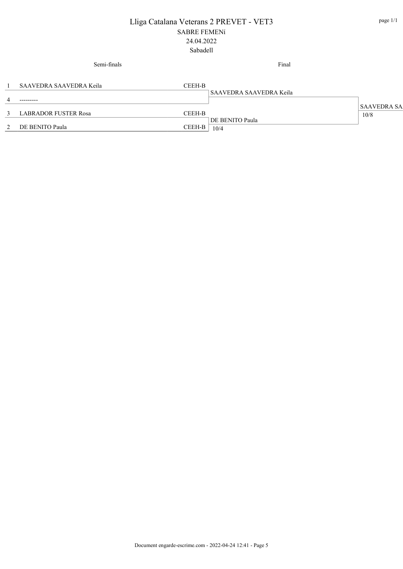|   | Semi-finals                 |        | Final                   |                    |
|---|-----------------------------|--------|-------------------------|--------------------|
|   | SAAVEDRA SAAVEDRA Keila     | CEEH-B |                         |                    |
|   |                             |        | SAAVEDRA SAAVEDRA Keila |                    |
| 4 | ---------                   |        |                         |                    |
|   |                             |        |                         | <b>SAAVEDRA SA</b> |
| 3 | <b>LABRADOR FUSTER Rosa</b> | CEEH-B |                         | 10/8               |
|   | 2 DE BENITO Paula           | CEEH-B | DE BENITO Paula<br>10/4 |                    |
|   |                             |        |                         |                    |